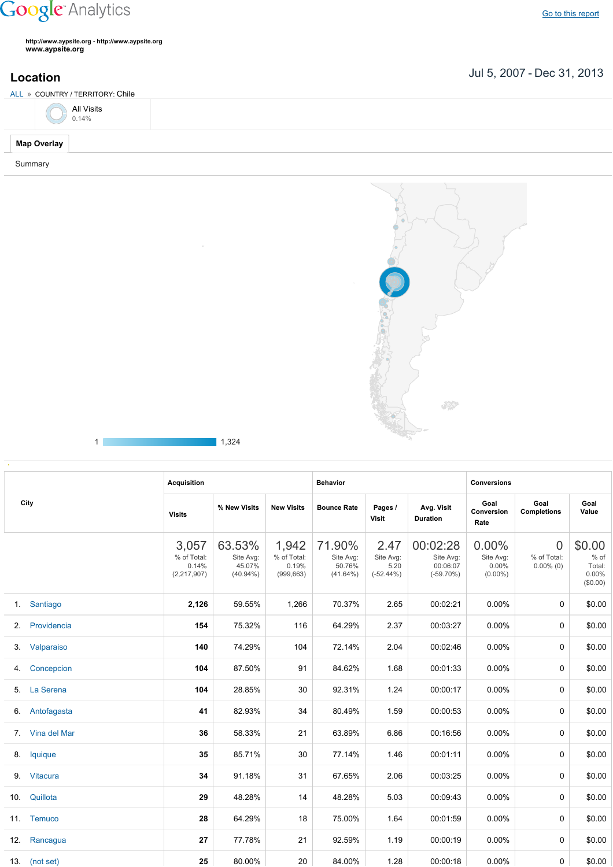## **Google** Analytics

**http://www.aypsite.org http://www.aypsite.org www.aypsite.org**

## Jul 5, 2007 Dec 31, 2013 **Location**

ALL » COUNTRY / TERRITORY: Chile



**Map Overlay** Summary



1 1,324

| City           |               | <b>Acquisition</b>                             |                                              |                                             | <b>Behavior</b>                              |                                           |                                                   | <b>Conversions</b>                           |                                         |                                               |
|----------------|---------------|------------------------------------------------|----------------------------------------------|---------------------------------------------|----------------------------------------------|-------------------------------------------|---------------------------------------------------|----------------------------------------------|-----------------------------------------|-----------------------------------------------|
|                |               | <b>Visits</b>                                  | % New Visits                                 | <b>New Visits</b>                           | <b>Bounce Rate</b>                           | Pages /<br><b>Visit</b>                   | Avg. Visit<br><b>Duration</b>                     | Goal<br>Conversion<br>Rate                   | Goal<br><b>Completions</b>              | Goal<br>Value                                 |
|                |               | 3,057<br>% of Total:<br>0.14%<br>(2, 217, 907) | 63.53%<br>Site Avg:<br>45.07%<br>$(40.94\%)$ | 1,942<br>% of Total:<br>0.19%<br>(999, 663) | 71.90%<br>Site Avg:<br>50.76%<br>$(41.64\%)$ | 2.47<br>Site Avg:<br>5.20<br>$(-52.44\%)$ | 00:02:28<br>Site Avg:<br>00:06:07<br>$(-59.70\%)$ | 0.00%<br>Site Avg:<br>$0.00\%$<br>$(0.00\%)$ | $\Omega$<br>% of Total:<br>$0.00\%$ (0) | \$0.00<br>% of<br>Total:<br>0.00%<br>(\$0.00) |
| 1 <sup>1</sup> | Santiago      | 2,126                                          | 59.55%                                       | 1,266                                       | 70.37%                                       | 2.65                                      | 00:02:21                                          | $0.00\%$                                     | $\mathbf 0$                             | \$0.00                                        |
| 2 <sub>1</sub> | Providencia   | 154                                            | 75.32%                                       | 116                                         | 64.29%                                       | 2.37                                      | 00:03:27                                          | $0.00\%$                                     | $\Omega$                                | \$0.00                                        |
| 3.             | Valparaiso    | 140                                            | 74.29%                                       | 104                                         | 72.14%                                       | 2.04                                      | 00:02:46                                          | $0.00\%$                                     | $\Omega$                                | \$0.00                                        |
| 4.             | Concepcion    | 104                                            | 87.50%                                       | 91                                          | 84.62%                                       | 1.68                                      | 00:01:33                                          | $0.00\%$                                     | $\mathbf 0$                             | \$0.00                                        |
| 5.             | La Serena     | 104                                            | 28.85%                                       | 30                                          | 92.31%                                       | 1.24                                      | 00:00:17                                          | $0.00\%$                                     | $\mathbf 0$                             | \$0.00                                        |
| 6.             | Antofagasta   | 41                                             | 82.93%                                       | 34                                          | 80.49%                                       | 1.59                                      | 00:00:53                                          | $0.00\%$                                     | $\Omega$                                | \$0.00                                        |
| $7^{\circ}$    | Vina del Mar  | 36                                             | 58.33%                                       | 21                                          | 63.89%                                       | 6.86                                      | 00:16:56                                          | $0.00\%$                                     | $\Omega$                                | \$0.00                                        |
| 8.             | lquique       | 35                                             | 85.71%                                       | 30                                          | 77.14%                                       | 1.46                                      | 00:01:11                                          | $0.00\%$                                     | 0                                       | \$0.00                                        |
| 9.             | Vitacura      | 34                                             | 91.18%                                       | 31                                          | 67.65%                                       | 2.06                                      | 00:03:25                                          | $0.00\%$                                     | 0                                       | \$0.00                                        |
| 10.            | Quillota      | 29                                             | 48.28%                                       | 14                                          | 48.28%                                       | 5.03                                      | 00:09:43                                          | 0.00%                                        | 0                                       | \$0.00                                        |
|                | 11. Temuco    | 28                                             | 64.29%                                       | 18                                          | 75.00%                                       | 1.64                                      | 00:01:59                                          | $0.00\%$                                     | 0                                       | \$0.00                                        |
| 12.            | Rancagua      | 27                                             | 77.78%                                       | 21                                          | 92.59%                                       | 1.19                                      | 00:00:19                                          | $0.00\%$                                     | 0                                       | \$0.00                                        |
|                | 13. (not set) | 25                                             | 80.00%                                       | 20                                          | 84.00%                                       | 1.28                                      | 00:00:18                                          | $0.00\%$                                     | 0                                       | \$0.00                                        |